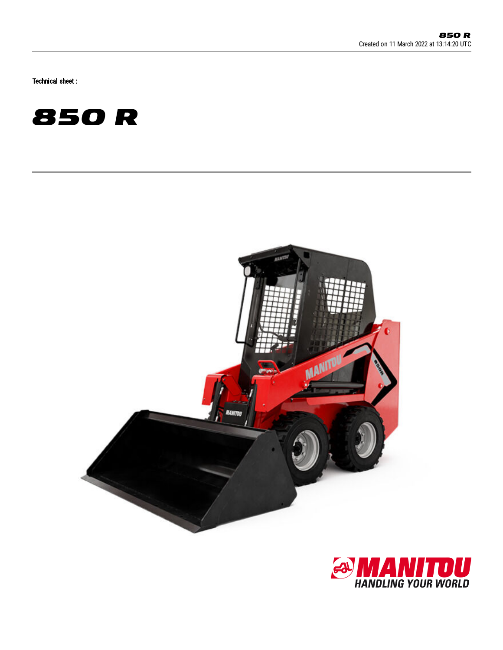Technical sheet :





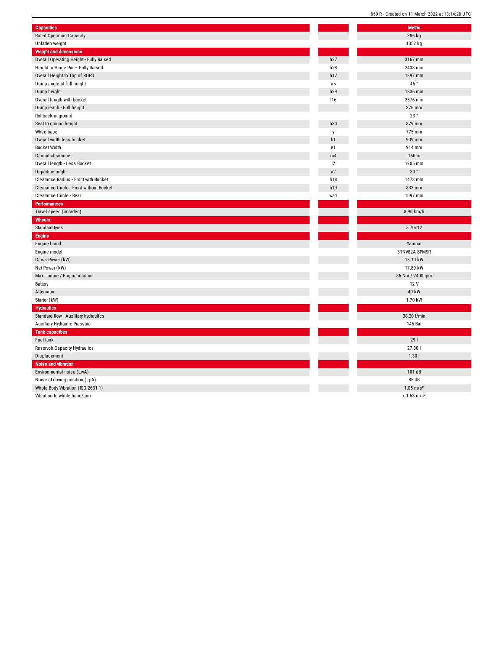| <b>Capacities</b>                       |                | <b>Metric</b>             |
|-----------------------------------------|----------------|---------------------------|
| <b>Rated Operating Capacity</b>         |                | 386 kg                    |
| Unladen weight                          |                | 1352 kg                   |
| <b>Weight and dimensions</b>            |                |                           |
| Overall Operating Height - Fully Raised | h27            | 3167 mm                   |
| Height to Hinge Pin - Fully Raised      | h28            | 2438 mm                   |
| Overall Height to Top of ROPS           | h17            | 1897 mm                   |
| Dump angle at full height               | a <sub>5</sub> | 46°                       |
| Dump height                             | h29            | 1836 mm                   |
| Overall length with bucket              | 116            | 2576 mm                   |
| Dump reach - Full height                |                | 376 mm                    |
| Rollback at ground                      |                | 23 $^{\circ}$             |
| Seat to ground height                   | h30            | 879 mm                    |
| Wheelbase                               | y              | 775 mm                    |
| Overall width less bucket               | b1             | 909 mm                    |
| <b>Bucket Width</b>                     | e1             | 914 mm                    |
| Ground clearance                        | m4             | 150 m                     |
| Overall length - Less Bucket            | 12             | 1905 mm                   |
| Departure angle                         | a2             | 30°                       |
| Clearance Radius - Front with Bucket    | b18            | 1473 mm                   |
| Clearance Circle - Front without Bucket | <b>b19</b>     | 833 mm                    |
| Clearance Circle - Rear                 | wa1            | 1097 mm                   |
| <b>Performances</b>                     |                |                           |
| Travel speed (unladen)                  |                | 8.90 km/h                 |
| Wheels                                  |                |                           |
| Standard tyres                          |                | 5.70x12                   |
| <b>Engine</b>                           |                |                           |
| Engine brand                            |                | Yanmar                    |
| Engine model                            |                | 3TNV82A-BPMSR             |
| Gross Power (kW)                        |                | 18.10 kW                  |
| Net Power (kW)                          |                | 17.80 kW                  |
| Max. torque / Engine rotation           |                | 86 Nm / 2400 rpm          |
| Battery                                 |                | 12 V                      |
| Alternator                              |                | 40 kW                     |
| Starter (kW)                            |                | 1.70 kW                   |
| <b>Hydraulics</b>                       |                |                           |
| Standard flow - Auxiliary hydraulics    |                | 38.20 l/min               |
| Auxiliary Hydraulic Pressure            |                | 145 Bar                   |
| <b>Tank capacities</b>                  |                |                           |
| Fuel tank                               |                | 291                       |
|                                         |                |                           |
| Reservoir Capacity Hydraulics           |                | 27.301<br>1.301           |
| Displacement                            |                |                           |
| Noise and vibration                     |                |                           |
| Environmental noise (LwA)               |                | 101 dB                    |
| Noise at driving position (LpA)         |                | 85 dB                     |
| Whole-Body Vibration (ISO 2631-1)       |                | $1.05 \text{ m/s}^2$      |
| Vibration to whole hand/arm             |                | $< 1.53$ m/s <sup>2</sup> |

850 R - Created on 11 March 2022 at 13:14:20 UTC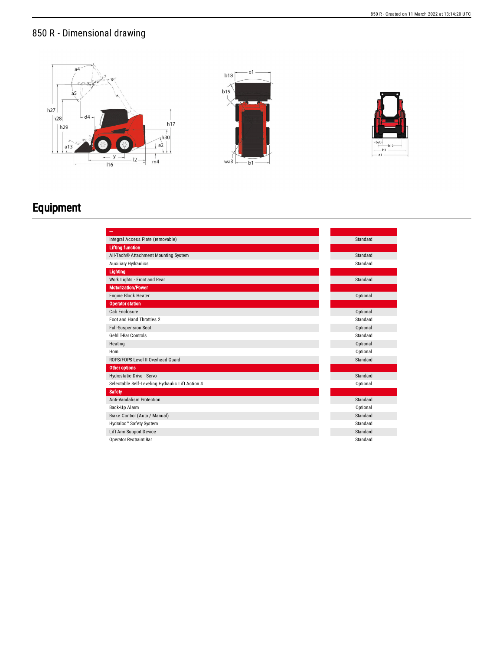## 850 R - Dimensional drawing



## Equipment

| Integral Access Plate (removable)                | Standard |
|--------------------------------------------------|----------|
| <b>Lifting function</b>                          |          |
| All-Tach® Attachment Mounting System             | Standard |
| <b>Auxiliary Hydraulics</b>                      | Standard |
| Lighting                                         |          |
| Work Lights - Front and Rear                     | Standard |
| <b>Motorization/Power</b>                        |          |
| Engine Block Heater                              | Optional |
| <b>Operator station</b>                          |          |
| Cab Enclosure                                    | Optional |
| Foot and Hand Throttles 2                        | Standard |
| <b>Full-Suspension Seat</b>                      | Optional |
| Gehl T-Bar Controls                              | Standard |
| Heating                                          | Optional |
| Horn                                             | Optional |
| ROPS/FOPS Level II Overhead Guard                | Standard |
| Other options                                    |          |
| Hydrostatic Drive - Servo                        | Standard |
| Selectable Self-Leveling Hydraulic Lift Action 4 | Optional |
| <b>Safety</b>                                    |          |
| <b>Anti-Vandalism Protection</b>                 | Standard |
| Back-Up Alarm                                    | Optional |
| Brake Control (Auto / Manual)                    | Standard |
| Hydraloc™ Safety System                          | Standard |
| Lift Arm Support Device                          | Standard |
| <b>Operator Restraint Bar</b>                    | Standard |